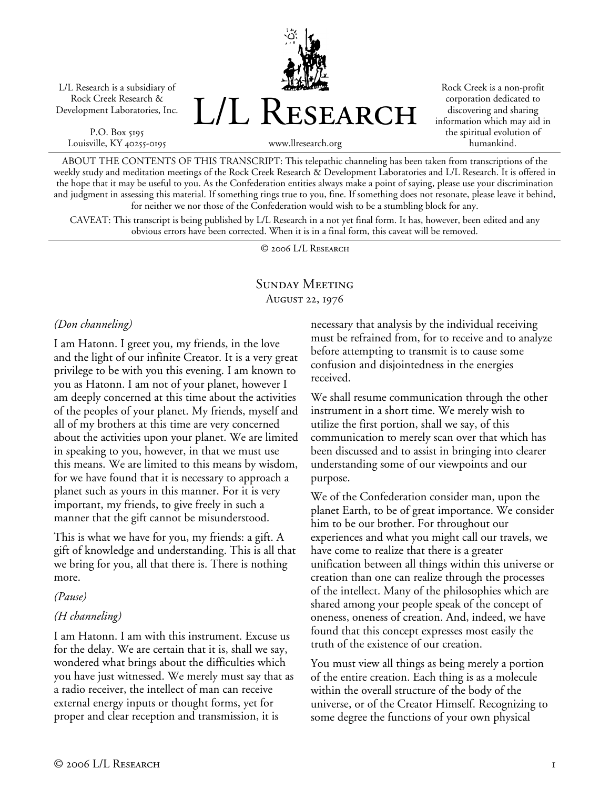L/L Research is a subsidiary of Rock Creek Research & Development Laboratories, Inc.

P.O. Box 5195 Louisville, KY 40255-0195 L/L Research

Rock Creek is a non-profit corporation dedicated to discovering and sharing information which may aid in the spiritual evolution of humankind.

www.llresearch.org

ABOUT THE CONTENTS OF THIS TRANSCRIPT: This telepathic channeling has been taken from transcriptions of the weekly study and meditation meetings of the Rock Creek Research & Development Laboratories and L/L Research. It is offered in the hope that it may be useful to you. As the Confederation entities always make a point of saying, please use your discrimination and judgment in assessing this material. If something rings true to you, fine. If something does not resonate, please leave it behind, for neither we nor those of the Confederation would wish to be a stumbling block for any.

CAVEAT: This transcript is being published by L/L Research in a not yet final form. It has, however, been edited and any obvious errors have been corrected. When it is in a final form, this caveat will be removed.

© 2006 L/L Research

## Sunday Meeting August 22, 1976

#### *(Don channeling)*

I am Hatonn. I greet you, my friends, in the love and the light of our infinite Creator. It is a very great privilege to be with you this evening. I am known to you as Hatonn. I am not of your planet, however I am deeply concerned at this time about the activities of the peoples of your planet. My friends, myself and all of my brothers at this time are very concerned about the activities upon your planet. We are limited in speaking to you, however, in that we must use this means. We are limited to this means by wisdom, for we have found that it is necessary to approach a planet such as yours in this manner. For it is very important, my friends, to give freely in such a manner that the gift cannot be misunderstood.

This is what we have for you, my friends: a gift. A gift of knowledge and understanding. This is all that we bring for you, all that there is. There is nothing more.

*(Pause)* 

### *(H channeling)*

I am Hatonn. I am with this instrument. Excuse us for the delay. We are certain that it is, shall we say, wondered what brings about the difficulties which you have just witnessed. We merely must say that as a radio receiver, the intellect of man can receive external energy inputs or thought forms, yet for proper and clear reception and transmission, it is

necessary that analysis by the individual receiving must be refrained from, for to receive and to analyze before attempting to transmit is to cause some confusion and disjointedness in the energies received.

We shall resume communication through the other instrument in a short time. We merely wish to utilize the first portion, shall we say, of this communication to merely scan over that which has been discussed and to assist in bringing into clearer understanding some of our viewpoints and our purpose.

We of the Confederation consider man, upon the planet Earth, to be of great importance. We consider him to be our brother. For throughout our experiences and what you might call our travels, we have come to realize that there is a greater unification between all things within this universe or creation than one can realize through the processes of the intellect. Many of the philosophies which are shared among your people speak of the concept of oneness, oneness of creation. And, indeed, we have found that this concept expresses most easily the truth of the existence of our creation.

You must view all things as being merely a portion of the entire creation. Each thing is as a molecule within the overall structure of the body of the universe, or of the Creator Himself. Recognizing to some degree the functions of your own physical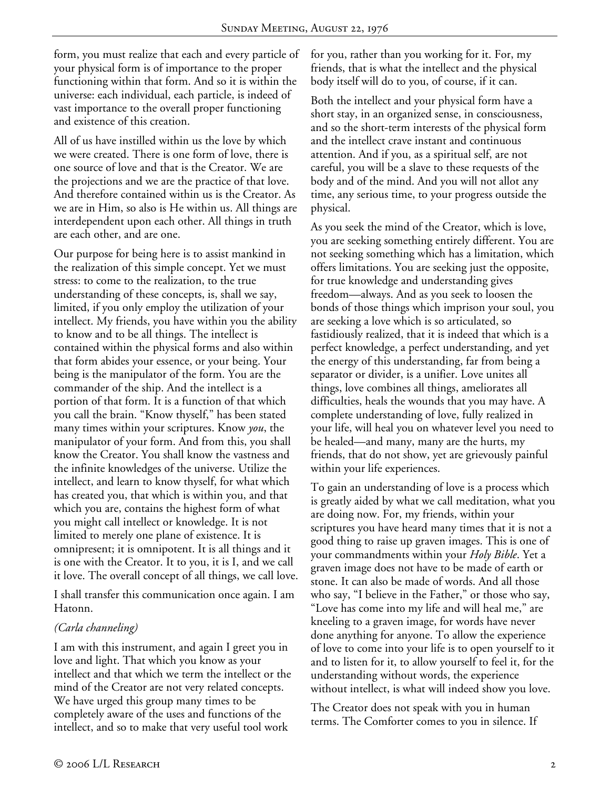form, you must realize that each and every particle of your physical form is of importance to the proper functioning within that form. And so it is within the universe: each individual, each particle, is indeed of vast importance to the overall proper functioning and existence of this creation.

All of us have instilled within us the love by which we were created. There is one form of love, there is one source of love and that is the Creator. We are the projections and we are the practice of that love. And therefore contained within us is the Creator. As we are in Him, so also is He within us. All things are interdependent upon each other. All things in truth are each other, and are one.

Our purpose for being here is to assist mankind in the realization of this simple concept. Yet we must stress: to come to the realization, to the true understanding of these concepts, is, shall we say, limited, if you only employ the utilization of your intellect. My friends, you have within you the ability to know and to be all things. The intellect is contained within the physical forms and also within that form abides your essence, or your being. Your being is the manipulator of the form. You are the commander of the ship. And the intellect is a portion of that form. It is a function of that which you call the brain. "Know thyself," has been stated many times within your scriptures. Know *you*, the manipulator of your form. And from this, you shall know the Creator. You shall know the vastness and the infinite knowledges of the universe. Utilize the intellect, and learn to know thyself, for what which has created you, that which is within you, and that which you are, contains the highest form of what you might call intellect or knowledge. It is not limited to merely one plane of existence. It is omnipresent; it is omnipotent. It is all things and it is one with the Creator. It to you, it is I, and we call it love. The overall concept of all things, we call love.

I shall transfer this communication once again. I am Hatonn.

#### *(Carla channeling)*

I am with this instrument, and again I greet you in love and light. That which you know as your intellect and that which we term the intellect or the mind of the Creator are not very related concepts. We have urged this group many times to be completely aware of the uses and functions of the intellect, and so to make that very useful tool work

for you, rather than you working for it. For, my friends, that is what the intellect and the physical body itself will do to you, of course, if it can.

Both the intellect and your physical form have a short stay, in an organized sense, in consciousness, and so the short-term interests of the physical form and the intellect crave instant and continuous attention. And if you, as a spiritual self, are not careful, you will be a slave to these requests of the body and of the mind. And you will not allot any time, any serious time, to your progress outside the physical.

As you seek the mind of the Creator, which is love, you are seeking something entirely different. You are not seeking something which has a limitation, which offers limitations. You are seeking just the opposite, for true knowledge and understanding gives freedom—always. And as you seek to loosen the bonds of those things which imprison your soul, you are seeking a love which is so articulated, so fastidiously realized, that it is indeed that which is a perfect knowledge, a perfect understanding, and yet the energy of this understanding, far from being a separator or divider, is a unifier. Love unites all things, love combines all things, ameliorates all difficulties, heals the wounds that you may have. A complete understanding of love, fully realized in your life, will heal you on whatever level you need to be healed—and many, many are the hurts, my friends, that do not show, yet are grievously painful within your life experiences.

To gain an understanding of love is a process which is greatly aided by what we call meditation, what you are doing now. For, my friends, within your scriptures you have heard many times that it is not a good thing to raise up graven images. This is one of your commandments within your *Holy Bible*. Yet a graven image does not have to be made of earth or stone. It can also be made of words. And all those who say, "I believe in the Father," or those who say, "Love has come into my life and will heal me," are kneeling to a graven image, for words have never done anything for anyone. To allow the experience of love to come into your life is to open yourself to it and to listen for it, to allow yourself to feel it, for the understanding without words, the experience without intellect, is what will indeed show you love.

The Creator does not speak with you in human terms. The Comforter comes to you in silence. If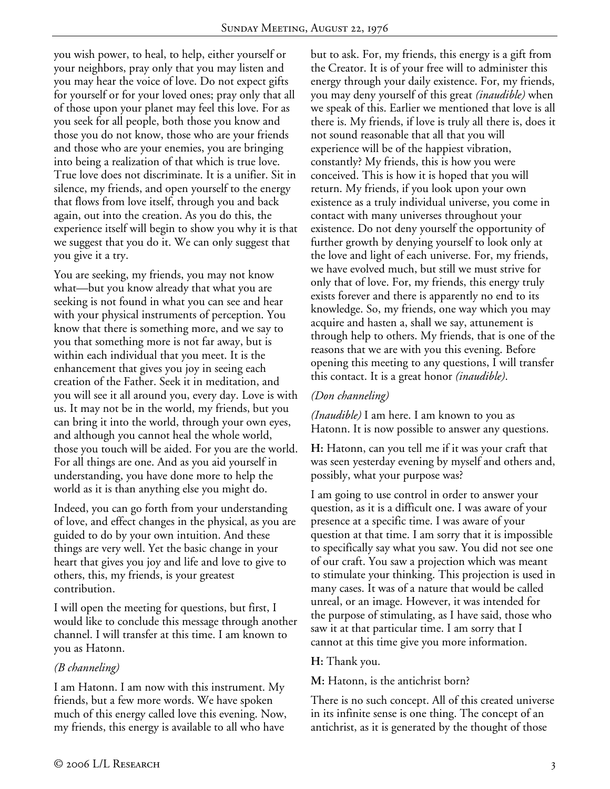you wish power, to heal, to help, either yourself or your neighbors, pray only that you may listen and you may hear the voice of love. Do not expect gifts for yourself or for your loved ones; pray only that all of those upon your planet may feel this love. For as you seek for all people, both those you know and those you do not know, those who are your friends and those who are your enemies, you are bringing into being a realization of that which is true love. True love does not discriminate. It is a unifier. Sit in silence, my friends, and open yourself to the energy that flows from love itself, through you and back again, out into the creation. As you do this, the experience itself will begin to show you why it is that we suggest that you do it. We can only suggest that you give it a try.

You are seeking, my friends, you may not know what—but you know already that what you are seeking is not found in what you can see and hear with your physical instruments of perception. You know that there is something more, and we say to you that something more is not far away, but is within each individual that you meet. It is the enhancement that gives you joy in seeing each creation of the Father. Seek it in meditation, and you will see it all around you, every day. Love is with us. It may not be in the world, my friends, but you can bring it into the world, through your own eyes, and although you cannot heal the whole world, those you touch will be aided. For you are the world. For all things are one. And as you aid yourself in understanding, you have done more to help the world as it is than anything else you might do.

Indeed, you can go forth from your understanding of love, and effect changes in the physical, as you are guided to do by your own intuition. And these things are very well. Yet the basic change in your heart that gives you joy and life and love to give to others, this, my friends, is your greatest contribution.

I will open the meeting for questions, but first, I would like to conclude this message through another channel. I will transfer at this time. I am known to you as Hatonn.

### *(B channeling)*

I am Hatonn. I am now with this instrument. My friends, but a few more words. We have spoken much of this energy called love this evening. Now, my friends, this energy is available to all who have

but to ask. For, my friends, this energy is a gift from the Creator. It is of your free will to administer this energy through your daily existence. For, my friends, you may deny yourself of this great *(inaudible)* when we speak of this. Earlier we mentioned that love is all there is. My friends, if love is truly all there is, does it not sound reasonable that all that you will experience will be of the happiest vibration, constantly? My friends, this is how you were conceived. This is how it is hoped that you will return. My friends, if you look upon your own existence as a truly individual universe, you come in contact with many universes throughout your existence. Do not deny yourself the opportunity of further growth by denying yourself to look only at the love and light of each universe. For, my friends, we have evolved much, but still we must strive for only that of love. For, my friends, this energy truly exists forever and there is apparently no end to its knowledge. So, my friends, one way which you may acquire and hasten a, shall we say, attunement is through help to others. My friends, that is one of the reasons that we are with you this evening. Before opening this meeting to any questions, I will transfer this contact. It is a great honor *(inaudible)*.

#### *(Don channeling)*

*(Inaudible)* I am here. I am known to you as Hatonn. It is now possible to answer any questions.

**H:** Hatonn, can you tell me if it was your craft that was seen yesterday evening by myself and others and, possibly, what your purpose was?

I am going to use control in order to answer your question, as it is a difficult one. I was aware of your presence at a specific time. I was aware of your question at that time. I am sorry that it is impossible to specifically say what you saw. You did not see one of our craft. You saw a projection which was meant to stimulate your thinking. This projection is used in many cases. It was of a nature that would be called unreal, or an image. However, it was intended for the purpose of stimulating, as I have said, those who saw it at that particular time. I am sorry that I cannot at this time give you more information.

#### **H:** Thank you.

**M:** Hatonn, is the antichrist born?

There is no such concept. All of this created universe in its infinite sense is one thing. The concept of an antichrist, as it is generated by the thought of those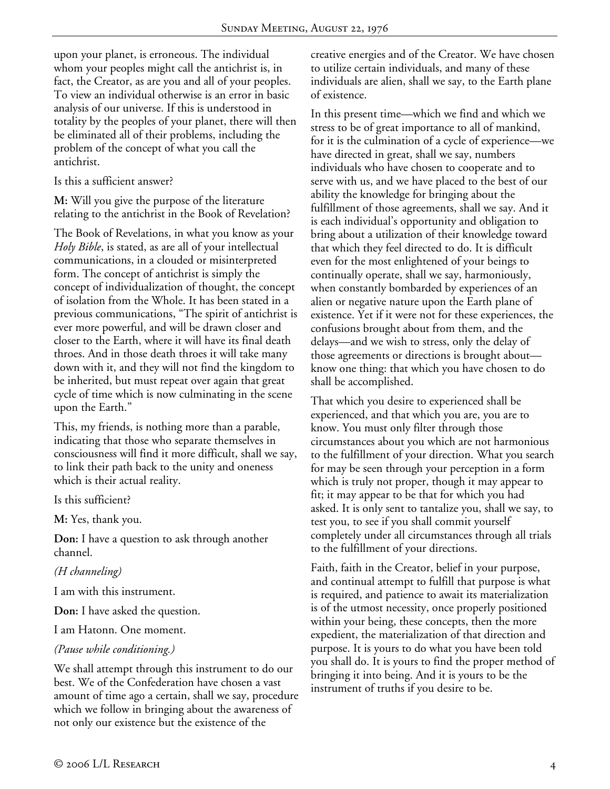upon your planet, is erroneous. The individual whom your peoples might call the antichrist is, in fact, the Creator, as are you and all of your peoples. To view an individual otherwise is an error in basic analysis of our universe. If this is understood in totality by the peoples of your planet, there will then be eliminated all of their problems, including the problem of the concept of what you call the antichrist.

Is this a sufficient answer?

**M:** Will you give the purpose of the literature relating to the antichrist in the Book of Revelation?

The Book of Revelations, in what you know as your *Holy Bible*, is stated, as are all of your intellectual communications, in a clouded or misinterpreted form. The concept of antichrist is simply the concept of individualization of thought, the concept of isolation from the Whole. It has been stated in a previous communications, "The spirit of antichrist is ever more powerful, and will be drawn closer and closer to the Earth, where it will have its final death throes. And in those death throes it will take many down with it, and they will not find the kingdom to be inherited, but must repeat over again that great cycle of time which is now culminating in the scene upon the Earth."

This, my friends, is nothing more than a parable, indicating that those who separate themselves in consciousness will find it more difficult, shall we say, to link their path back to the unity and oneness which is their actual reality.

Is this sufficient?

**M:** Yes, thank you.

**Don:** I have a question to ask through another channel.

#### *(H channeling)*

I am with this instrument.

**Don:** I have asked the question.

I am Hatonn. One moment.

#### *(Pause while conditioning.)*

We shall attempt through this instrument to do our best. We of the Confederation have chosen a vast amount of time ago a certain, shall we say, procedure which we follow in bringing about the awareness of not only our existence but the existence of the

creative energies and of the Creator. We have chosen to utilize certain individuals, and many of these individuals are alien, shall we say, to the Earth plane of existence.

In this present time—which we find and which we stress to be of great importance to all of mankind, for it is the culmination of a cycle of experience—we have directed in great, shall we say, numbers individuals who have chosen to cooperate and to serve with us, and we have placed to the best of our ability the knowledge for bringing about the fulfillment of those agreements, shall we say. And it is each individual's opportunity and obligation to bring about a utilization of their knowledge toward that which they feel directed to do. It is difficult even for the most enlightened of your beings to continually operate, shall we say, harmoniously, when constantly bombarded by experiences of an alien or negative nature upon the Earth plane of existence. Yet if it were not for these experiences, the confusions brought about from them, and the delays—and we wish to stress, only the delay of those agreements or directions is brought about know one thing: that which you have chosen to do shall be accomplished.

That which you desire to experienced shall be experienced, and that which you are, you are to know. You must only filter through those circumstances about you which are not harmonious to the fulfillment of your direction. What you search for may be seen through your perception in a form which is truly not proper, though it may appear to fit; it may appear to be that for which you had asked. It is only sent to tantalize you, shall we say, to test you, to see if you shall commit yourself completely under all circumstances through all trials to the fulfillment of your directions.

Faith, faith in the Creator, belief in your purpose, and continual attempt to fulfill that purpose is what is required, and patience to await its materialization is of the utmost necessity, once properly positioned within your being, these concepts, then the more expedient, the materialization of that direction and purpose. It is yours to do what you have been told you shall do. It is yours to find the proper method of bringing it into being. And it is yours to be the instrument of truths if you desire to be.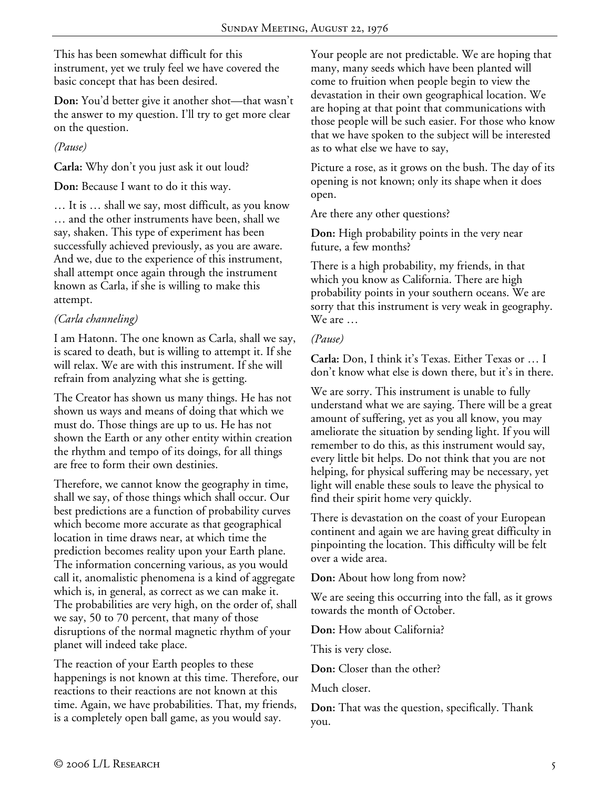This has been somewhat difficult for this instrument, yet we truly feel we have covered the basic concept that has been desired.

**Don:** You'd better give it another shot—that wasn't the answer to my question. I'll try to get more clear on the question.

*(Pause)* 

**Carla:** Why don't you just ask it out loud?

**Don:** Because I want to do it this way.

… It is … shall we say, most difficult, as you know … and the other instruments have been, shall we say, shaken. This type of experiment has been successfully achieved previously, as you are aware. And we, due to the experience of this instrument, shall attempt once again through the instrument known as Carla, if she is willing to make this attempt.

# *(Carla channeling)*

I am Hatonn. The one known as Carla, shall we say, is scared to death, but is willing to attempt it. If she will relax. We are with this instrument. If she will refrain from analyzing what she is getting.

The Creator has shown us many things. He has not shown us ways and means of doing that which we must do. Those things are up to us. He has not shown the Earth or any other entity within creation the rhythm and tempo of its doings, for all things are free to form their own destinies.

Therefore, we cannot know the geography in time, shall we say, of those things which shall occur. Our best predictions are a function of probability curves which become more accurate as that geographical location in time draws near, at which time the prediction becomes reality upon your Earth plane. The information concerning various, as you would call it, anomalistic phenomena is a kind of aggregate which is, in general, as correct as we can make it. The probabilities are very high, on the order of, shall we say, 50 to 70 percent, that many of those disruptions of the normal magnetic rhythm of your planet will indeed take place.

The reaction of your Earth peoples to these happenings is not known at this time. Therefore, our reactions to their reactions are not known at this time. Again, we have probabilities. That, my friends, is a completely open ball game, as you would say.

Your people are not predictable. We are hoping that many, many seeds which have been planted will come to fruition when people begin to view the devastation in their own geographical location. We are hoping at that point that communications with those people will be such easier. For those who know that we have spoken to the subject will be interested as to what else we have to say,

Picture a rose, as it grows on the bush. The day of its opening is not known; only its shape when it does open.

Are there any other questions?

**Don:** High probability points in the very near future, a few months?

There is a high probability, my friends, in that which you know as California. There are high probability points in your southern oceans. We are sorry that this instrument is very weak in geography. We are …

## *(Pause)*

**Carla:** Don, I think it's Texas. Either Texas or … I don't know what else is down there, but it's in there.

We are sorry. This instrument is unable to fully understand what we are saying. There will be a great amount of suffering, yet as you all know, you may ameliorate the situation by sending light. If you will remember to do this, as this instrument would say, every little bit helps. Do not think that you are not helping, for physical suffering may be necessary, yet light will enable these souls to leave the physical to find their spirit home very quickly.

There is devastation on the coast of your European continent and again we are having great difficulty in pinpointing the location. This difficulty will be felt over a wide area.

**Don:** About how long from now?

We are seeing this occurring into the fall, as it grows towards the month of October.

**Don:** How about California?

This is very close.

**Don:** Closer than the other?

Much closer.

**Don:** That was the question, specifically. Thank you.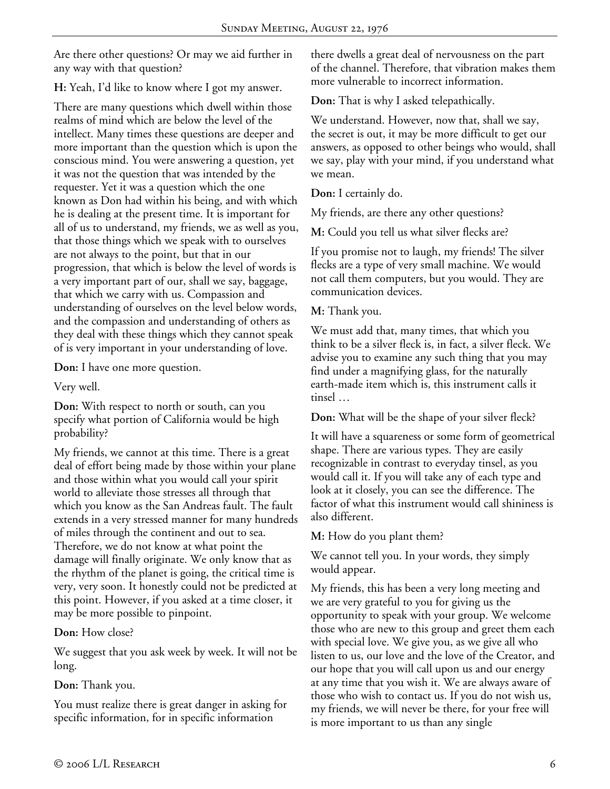Are there other questions? Or may we aid further in any way with that question?

**H:** Yeah, I'd like to know where I got my answer.

There are many questions which dwell within those realms of mind which are below the level of the intellect. Many times these questions are deeper and more important than the question which is upon the conscious mind. You were answering a question, yet it was not the question that was intended by the requester. Yet it was a question which the one known as Don had within his being, and with which he is dealing at the present time. It is important for all of us to understand, my friends, we as well as you, that those things which we speak with to ourselves are not always to the point, but that in our progression, that which is below the level of words is a very important part of our, shall we say, baggage, that which we carry with us. Compassion and understanding of ourselves on the level below words, and the compassion and understanding of others as they deal with these things which they cannot speak of is very important in your understanding of love.

**Don:** I have one more question.

Very well.

**Don:** With respect to north or south, can you specify what portion of California would be high probability?

My friends, we cannot at this time. There is a great deal of effort being made by those within your plane and those within what you would call your spirit world to alleviate those stresses all through that which you know as the San Andreas fault. The fault extends in a very stressed manner for many hundreds of miles through the continent and out to sea. Therefore, we do not know at what point the damage will finally originate. We only know that as the rhythm of the planet is going, the critical time is very, very soon. It honestly could not be predicted at this point. However, if you asked at a time closer, it may be more possible to pinpoint.

**Don:** How close?

We suggest that you ask week by week. It will not be long.

**Don:** Thank you.

You must realize there is great danger in asking for specific information, for in specific information

there dwells a great deal of nervousness on the part of the channel. Therefore, that vibration makes them more vulnerable to incorrect information.

**Don:** That is why I asked telepathically.

We understand. However, now that, shall we say, the secret is out, it may be more difficult to get our answers, as opposed to other beings who would, shall we say, play with your mind, if you understand what we mean.

**Don:** I certainly do.

My friends, are there any other questions?

**M:** Could you tell us what silver flecks are?

If you promise not to laugh, my friends! The silver flecks are a type of very small machine. We would not call them computers, but you would. They are communication devices.

**M:** Thank you.

We must add that, many times, that which you think to be a silver fleck is, in fact, a silver fleck. We advise you to examine any such thing that you may find under a magnifying glass, for the naturally earth-made item which is, this instrument calls it tinsel …

**Don:** What will be the shape of your silver fleck?

It will have a squareness or some form of geometrical shape. There are various types. They are easily recognizable in contrast to everyday tinsel, as you would call it. If you will take any of each type and look at it closely, you can see the difference. The factor of what this instrument would call shininess is also different.

**M:** How do you plant them?

We cannot tell you. In your words, they simply would appear.

My friends, this has been a very long meeting and we are very grateful to you for giving us the opportunity to speak with your group. We welcome those who are new to this group and greet them each with special love. We give you, as we give all who listen to us, our love and the love of the Creator, and our hope that you will call upon us and our energy at any time that you wish it. We are always aware of those who wish to contact us. If you do not wish us, my friends, we will never be there, for your free will is more important to us than any single